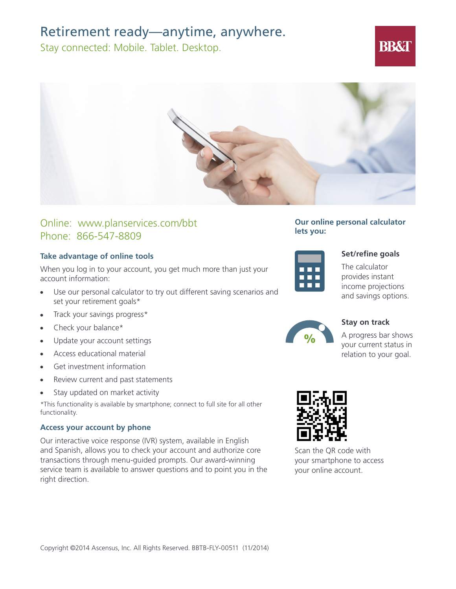## Retirement ready—anytime, anywhere.

Stay connected: Mobile. Tablet. Desktop.



## Online: www.planservices.com/bbt Phone: 866-547-8809

## **Take advantage of online tools**

When you log in to your account, you get much more than just your account information:

- Use our personal calculator to try out different saving scenarios and set your retirement goals\*
- Track your savings progress\*
- Check your balance\*
- Update your account settings
- Access educational material
- Get investment information
- Review current and past statements
- Stay updated on market activity

\*This functionality is available by smartphone; connect to full site for all other functionality.

### **Access your account by phone**

Our interactive voice response (IVR) system, available in English and Spanish, allows you to check your account and authorize core transactions through menu-guided prompts. Our award-winning service team is available to answer questions and to point you in the right direction.

**Our online personal calculator lets you:**



### **Set/refine goals**

**BB&T** 

The calculator provides instant income projections and savings options.



**Stay on track**

A progress bar shows your current status in relation to your goal.



Scan the QR code with your smartphone to access your online account.